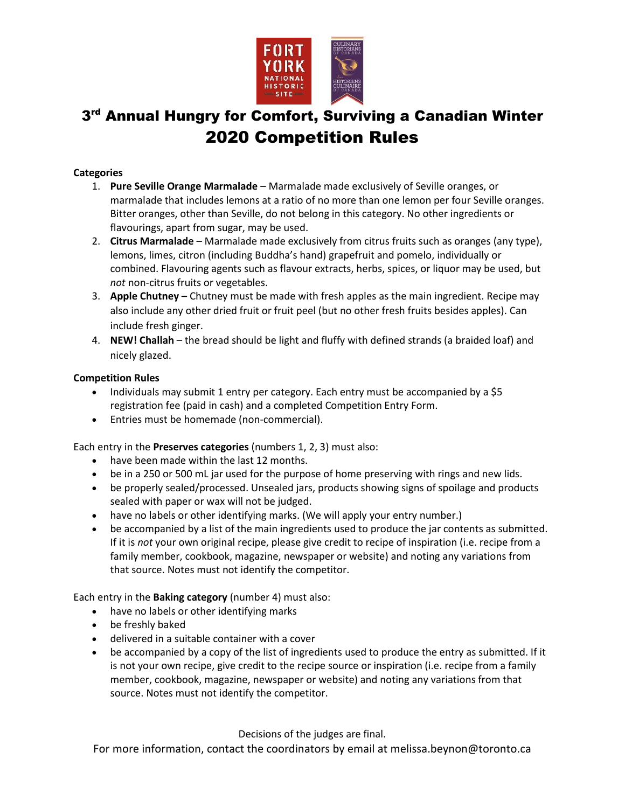

## 3<sup>rd</sup> Annual Hungry for Comfort, Surviving a Canadian Winter 2020 Competition Rules

## **Categories**

- 1. **Pure Seville Orange Marmalade** Marmalade made exclusively of Seville oranges, or marmalade that includes lemons at a ratio of no more than one lemon per four Seville oranges. Bitter oranges, other than Seville, do not belong in this category. No other ingredients or flavourings, apart from sugar, may be used.
- 2. **Citrus Marmalade** Marmalade made exclusively from citrus fruits such as oranges (any type), lemons, limes, citron (including Buddha's hand) grapefruit and pomelo, individually or combined. Flavouring agents such as flavour extracts, herbs, spices, or liquor may be used, but *not* non-citrus fruits or vegetables.
- 3. **Apple Chutney –** Chutney must be made with fresh apples as the main ingredient. Recipe may also include any other dried fruit or fruit peel (but no other fresh fruits besides apples). Can include fresh ginger.
- 4. **NEW! Challah** the bread should be light and fluffy with defined strands (a braided loaf) and nicely glazed.

## **Competition Rules**

- Individuals may submit 1 entry per category. Each entry must be accompanied by a \$5 registration fee (paid in cash) and a completed Competition Entry Form.
- Entries must be homemade (non-commercial).

Each entry in the **Preserves categories** (numbers 1, 2, 3) must also:

- have been made within the last 12 months.
- be in a 250 or 500 mL jar used for the purpose of home preserving with rings and new lids.
- be properly sealed/processed. Unsealed jars, products showing signs of spoilage and products sealed with paper or wax will not be judged.
- have no labels or other identifying marks. (We will apply your entry number.)
- be accompanied by a list of the main ingredients used to produce the jar contents as submitted. If it is *not* your own original recipe, please give credit to recipe of inspiration (i.e. recipe from a family member, cookbook, magazine, newspaper or website) and noting any variations from that source. Notes must not identify the competitor.

Each entry in the **Baking category** (number 4) must also:

- have no labels or other identifying marks
- be freshly baked
- delivered in a suitable container with a cover
- be accompanied by a copy of the list of ingredients used to produce the entry as submitted. If it is not your own recipe, give credit to the recipe source or inspiration (i.e. recipe from a family member, cookbook, magazine, newspaper or website) and noting any variations from that source. Notes must not identify the competitor.

Decisions of the judges are final.

For more information, contact the coordinators by email at melissa.beynon@toronto.ca